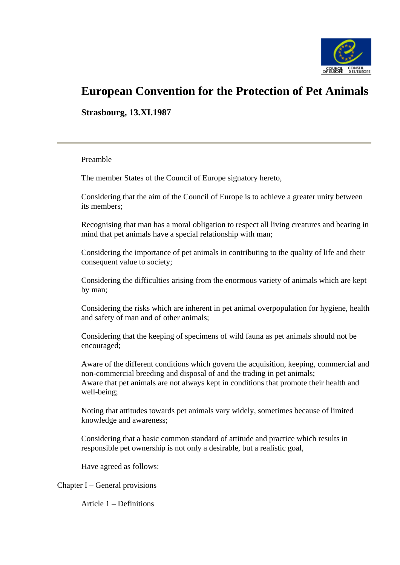

# **European Convention for the Protection of Pet Animals**

**Strasbourg, 13.XI.1987** 

#### Preamble

The member States of the Council of Europe signatory hereto,

Considering that the aim of the Council of Europe is to achieve a greater unity between its members;

Recognising that man has a moral obligation to respect all living creatures and bearing in mind that pet animals have a special relationship with man;

Considering the importance of pet animals in contributing to the quality of life and their consequent value to society;

Considering the difficulties arising from the enormous variety of animals which are kept by man;

Considering the risks which are inherent in pet animal overpopulation for hygiene, health and safety of man and of other animals;

Considering that the keeping of specimens of wild fauna as pet animals should not be encouraged;

Aware of the different conditions which govern the acquisition, keeping, commercial and non-commercial breeding and disposal of and the trading in pet animals; Aware that pet animals are not always kept in conditions that promote their health and well-being;

Noting that attitudes towards pet animals vary widely, sometimes because of limited knowledge and awareness;

Considering that a basic common standard of attitude and practice which results in responsible pet ownership is not only a desirable, but a realistic goal,

Have agreed as follows:

Chapter I – General provisions

Article 1 – Definitions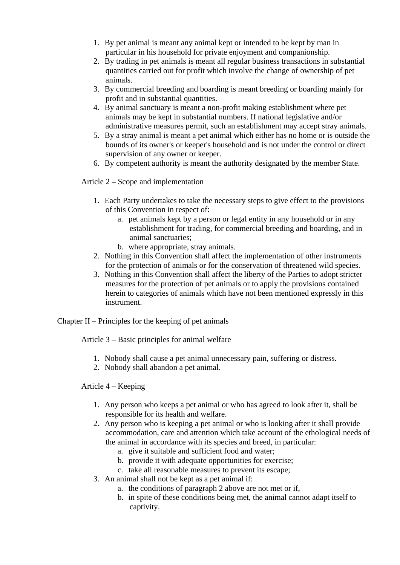- 1. By pet animal is meant any animal kept or intended to be kept by man in particular in his household for private enjoyment and companionship.
- 2. By trading in pet animals is meant all regular business transactions in substantial quantities carried out for profit which involve the change of ownership of pet animals.
- 3. By commercial breeding and boarding is meant breeding or boarding mainly for profit and in substantial quantities.
- 4. By animal sanctuary is meant a non-profit making establishment where pet animals may be kept in substantial numbers. If national legislative and/or administrative measures permit, such an establishment may accept stray animals.
- 5. By a stray animal is meant a pet animal which either has no home or is outside the bounds of its owner's or keeper's household and is not under the control or direct supervision of any owner or keeper.
- 6. By competent authority is meant the authority designated by the member State.

Article 2 – Scope and implementation

- 1. Each Party undertakes to take the necessary steps to give effect to the provisions of this Convention in respect of:
	- a. pet animals kept by a person or legal entity in any household or in any establishment for trading, for commercial breeding and boarding, and in animal sanctuaries;
	- b. where appropriate, stray animals.
- 2. Nothing in this Convention shall affect the implementation of other instruments for the protection of animals or for the conservation of threatened wild species.
- 3. Nothing in this Convention shall affect the liberty of the Parties to adopt stricter measures for the protection of pet animals or to apply the provisions contained herein to categories of animals which have not been mentioned expressly in this instrument.

Chapter  $II$  – Principles for the keeping of pet animals

Article 3 – Basic principles for animal welfare

- 1. Nobody shall cause a pet animal unnecessary pain, suffering or distress.
- 2. Nobody shall abandon a pet animal.

## Article 4 – Keeping

- 1. Any person who keeps a pet animal or who has agreed to look after it, shall be responsible for its health and welfare.
- 2. Any person who is keeping a pet animal or who is looking after it shall provide accommodation, care and attention which take account of the ethological needs of the animal in accordance with its species and breed, in particular:
	- a. give it suitable and sufficient food and water;
	- b. provide it with adequate opportunities for exercise;
	- c. take all reasonable measures to prevent its escape;
- 3. An animal shall not be kept as a pet animal if:
	- a. the conditions of paragraph 2 above are not met or if,
	- b. in spite of these conditions being met, the animal cannot adapt itself to captivity.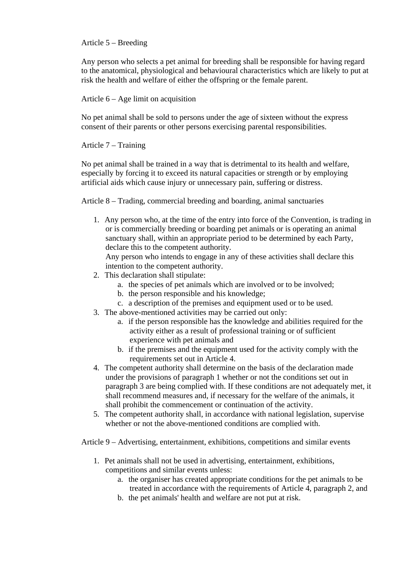### Article 5 – Breeding

Any person who selects a pet animal for breeding shall be responsible for having regard to the anatomical, physiological and behavioural characteristics which are likely to put at risk the health and welfare of either the offspring or the female parent.

Article 6 – Age limit on acquisition

No pet animal shall be sold to persons under the age of sixteen without the express consent of their parents or other persons exercising parental responsibilities.

Article 7 – Training

No pet animal shall be trained in a way that is detrimental to its health and welfare, especially by forcing it to exceed its natural capacities or strength or by employing artificial aids which cause injury or unnecessary pain, suffering or distress.

Article 8 – Trading, commercial breeding and boarding, animal sanctuaries

1. Any person who, at the time of the entry into force of the Convention, is trading in or is commercially breeding or boarding pet animals or is operating an animal sanctuary shall, within an appropriate period to be determined by each Party, declare this to the competent authority.

Any person who intends to engage in any of these activities shall declare this intention to the competent authority.

- 2. This declaration shall stipulate:
	- a. the species of pet animals which are involved or to be involved;
	- b. the person responsible and his knowledge;
	- c. a description of the premises and equipment used or to be used.
- 3. The above-mentioned activities may be carried out only:
	- a. if the person responsible has the knowledge and abilities required for the activity either as a result of professional training or of sufficient experience with pet animals and
	- b. if the premises and the equipment used for the activity comply with the requirements set out in Article 4.
- 4. The competent authority shall determine on the basis of the declaration made under the provisions of paragraph 1 whether or not the conditions set out in paragraph 3 are being complied with. If these conditions are not adequately met, it shall recommend measures and, if necessary for the welfare of the animals, it shall prohibit the commencement or continuation of the activity.
- 5. The competent authority shall, in accordance with national legislation, supervise whether or not the above-mentioned conditions are complied with.

Article 9 – Advertising, entertainment, exhibitions, competitions and similar events

- 1. Pet animals shall not be used in advertising, entertainment, exhibitions, competitions and similar events unless:
	- a. the organiser has created appropriate conditions for the pet animals to be treated in accordance with the requirements of Article 4, paragraph 2, and
	- b. the pet animals' health and welfare are not put at risk.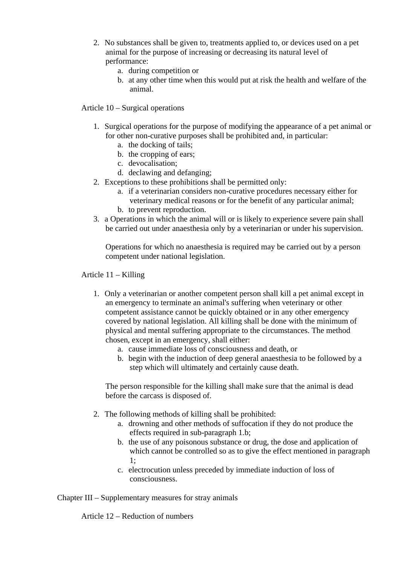- 2. No substances shall be given to, treatments applied to, or devices used on a pet animal for the purpose of increasing or decreasing its natural level of performance:
	- a. during competition or
	- b. at any other time when this would put at risk the health and welfare of the animal.

Article 10 – Surgical operations

- 1. Surgical operations for the purpose of modifying the appearance of a pet animal or for other non-curative purposes shall be prohibited and, in particular:
	- a. the docking of tails;
	- b. the cropping of ears;
	- c. devocalisation;
	- d. declawing and defanging;
- 2. Exceptions to these prohibitions shall be permitted only:
	- a. if a veterinarian considers non-curative procedures necessary either for veterinary medical reasons or for the benefit of any particular animal;
	- b. to prevent reproduction.
- 3. a Operations in which the animal will or is likely to experience severe pain shall be carried out under anaesthesia only by a veterinarian or under his supervision.

Operations for which no anaesthesia is required may be carried out by a person competent under national legislation.

Article 11 – Killing

- 1. Only a veterinarian or another competent person shall kill a pet animal except in an emergency to terminate an animal's suffering when veterinary or other competent assistance cannot be quickly obtained or in any other emergency covered by national legislation. All killing shall be done with the minimum of physical and mental suffering appropriate to the circumstances. The method chosen, except in an emergency, shall either:
	- a. cause immediate loss of consciousness and death, or
	- b. begin with the induction of deep general anaesthesia to be followed by a step which will ultimately and certainly cause death.

The person responsible for the killing shall make sure that the animal is dead before the carcass is disposed of.

- 2. The following methods of killing shall be prohibited:
	- a. drowning and other methods of suffocation if they do not produce the effects required in sub-paragraph 1.b;
	- b. the use of any poisonous substance or drug, the dose and application of which cannot be controlled so as to give the effect mentioned in paragraph 1;
	- c. electrocution unless preceded by immediate induction of loss of consciousness.

Chapter III – Supplementary measures for stray animals

Article 12 – Reduction of numbers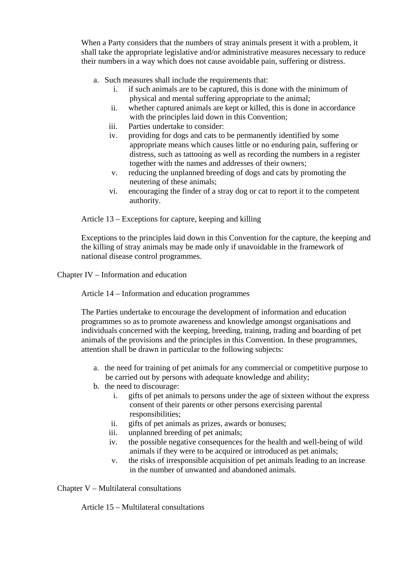When a Party considers that the numbers of stray animals present it with a problem, it shall take the appropriate legislative and/or administrative measures necessary to reduce their numbers in a way which does not cause avoidable pain, suffering or distress.

- a. Such measures shall include the requirements that:
	- i. if such animals are to be captured, this is done with the minimum of physical and mental suffering appropriate to the animal;
	- ii. whether captured animals are kept or killed, this is done in accordance with the principles laid down in this Convention;
	- iii. Parties undertake to consider:
	- iv. providing for dogs and cats to be permanently identified by some appropriate means which causes little or no enduring pain, suffering or distress, such as tattooing as well as recording the numbers in a register together with the names and addresses of their owners;
	- v. reducing the unplanned breeding of dogs and cats by promoting the neutering of these animals;
	- vi. encouraging the finder of a stray dog or cat to report it to the competent authority.

Article 13 – Exceptions for capture, keeping and killing

Exceptions to the principles laid down in this Convention for the capture, the keeping and the killing of stray animals may be made only if unavoidable in the framework of national disease control programmes.

Chapter IV – Information and education

Article 14 – Information and education programmes

The Parties undertake to encourage the development of information and education programmes so as to promote awareness and knowledge amongst organisations and individuals concerned with the keeping, breeding, training, trading and boarding of pet animals of the provisions and the principles in this Convention. In these programmes, attention shall be drawn in particular to the following subjects:

- a. the need for training of pet animals for any commercial or competitive purpose to be carried out by persons with adequate knowledge and ability;
- b. the need to discourage:
	- i. gifts of pet animals to persons under the age of sixteen without the express consent of their parents or other persons exercising parental responsibilities;
	- ii. gifts of pet animals as prizes, awards or bonuses;
	- iii. unplanned breeding of pet animals;
	- iv. the possible negative consequences for the health and well-being of wild animals if they were to be acquired or introduced as pet animals;
	- v. the risks of irresponsible acquisition of pet animals leading to an increase in the number of unwanted and abandoned animals.

Chapter V – Multilateral consultations

Article 15 – Multilateral consultations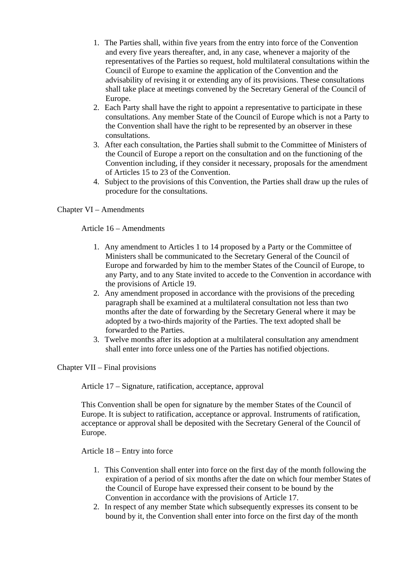- 1. The Parties shall, within five years from the entry into force of the Convention and every five years thereafter, and, in any case, whenever a majority of the representatives of the Parties so request, hold multilateral consultations within the Council of Europe to examine the application of the Convention and the advisability of revising it or extending any of its provisions. These consultations shall take place at meetings convened by the Secretary General of the Council of Europe.
- 2. Each Party shall have the right to appoint a representative to participate in these consultations. Any member State of the Council of Europe which is not a Party to the Convention shall have the right to be represented by an observer in these consultations.
- 3. After each consultation, the Parties shall submit to the Committee of Ministers of the Council of Europe a report on the consultation and on the functioning of the Convention including, if they consider it necessary, proposals for the amendment of Articles 15 to 23 of the Convention.
- 4. Subject to the provisions of this Convention, the Parties shall draw up the rules of procedure for the consultations.

## Chapter VI – Amendments

## Article 16 – Amendments

- 1. Any amendment to Articles 1 to 14 proposed by a Party or the Committee of Ministers shall be communicated to the Secretary General of the Council of Europe and forwarded by him to the member States of the Council of Europe, to any Party, and to any State invited to accede to the Convention in accordance with the provisions of Article 19.
- 2. Any amendment proposed in accordance with the provisions of the preceding paragraph shall be examined at a multilateral consultation not less than two months after the date of forwarding by the Secretary General where it may be adopted by a two-thirds majority of the Parties. The text adopted shall be forwarded to the Parties.
- 3. Twelve months after its adoption at a multilateral consultation any amendment shall enter into force unless one of the Parties has notified objections.

Chapter VII – Final provisions

Article 17 – Signature, ratification, acceptance, approval

This Convention shall be open for signature by the member States of the Council of Europe. It is subject to ratification, acceptance or approval. Instruments of ratification, acceptance or approval shall be deposited with the Secretary General of the Council of Europe.

Article 18 – Entry into force

- 1. This Convention shall enter into force on the first day of the month following the expiration of a period of six months after the date on which four member States of the Council of Europe have expressed their consent to be bound by the Convention in accordance with the provisions of Article 17.
- 2. In respect of any member State which subsequently expresses its consent to be bound by it, the Convention shall enter into force on the first day of the month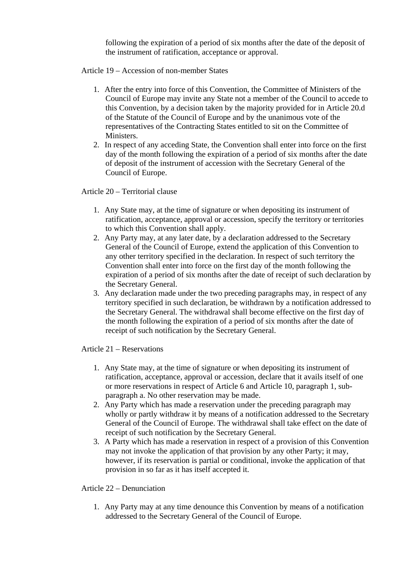following the expiration of a period of six months after the date of the deposit of the instrument of ratification, acceptance or approval.

Article 19 – Accession of non-member States

- 1. After the entry into force of this Convention, the Committee of Ministers of the Council of Europe may invite any State not a member of the Council to accede to this Convention, by a decision taken by the majority provided for in Article 20.d of the Statute of the Council of Europe and by the unanimous vote of the representatives of the Contracting States entitled to sit on the Committee of Ministers.
- 2. In respect of any acceding State, the Convention shall enter into force on the first day of the month following the expiration of a period of six months after the date of deposit of the instrument of accession with the Secretary General of the Council of Europe.

Article 20 – Territorial clause

- 1. Any State may, at the time of signature or when depositing its instrument of ratification, acceptance, approval or accession, specify the territory or territories to which this Convention shall apply.
- 2. Any Party may, at any later date, by a declaration addressed to the Secretary General of the Council of Europe, extend the application of this Convention to any other territory specified in the declaration. In respect of such territory the Convention shall enter into force on the first day of the month following the expiration of a period of six months after the date of receipt of such declaration by the Secretary General.
- 3. Any declaration made under the two preceding paragraphs may, in respect of any territory specified in such declaration, be withdrawn by a notification addressed to the Secretary General. The withdrawal shall become effective on the first day of the month following the expiration of a period of six months after the date of receipt of such notification by the Secretary General.

Article 21 – Reservations

- 1. Any State may, at the time of signature or when depositing its instrument of ratification, acceptance, approval or accession, declare that it avails itself of one or more reservations in respect of Article 6 and Article 10, paragraph 1, subparagraph a. No other reservation may be made.
- 2. Any Party which has made a reservation under the preceding paragraph may wholly or partly withdraw it by means of a notification addressed to the Secretary General of the Council of Europe. The withdrawal shall take effect on the date of receipt of such notification by the Secretary General.
- 3. A Party which has made a reservation in respect of a provision of this Convention may not invoke the application of that provision by any other Party; it may, however, if its reservation is partial or conditional, invoke the application of that provision in so far as it has itself accepted it.

Article 22 – Denunciation

1. Any Party may at any time denounce this Convention by means of a notification addressed to the Secretary General of the Council of Europe.